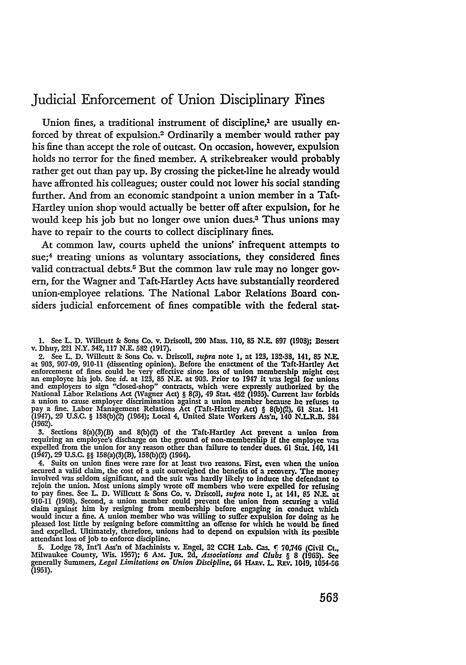## Judicial Enforcement of Union Disciplinary Fines

Union fines, a traditional instrument of discipline,<sup>1</sup> are usually enforced by threat of expulsion.2 Ordinarily a member would rather pay his fine than accept the role of outcast. On occasion, however, expulsion holds no terror for the fined member. A strikebreaker would probably rather get out than pay up. By crossing the picket-line he already would have affronted his colleagues; ouster could not lower his social standing further. And from an economic standpoint a union member in a Taft-Hartley union shop would actually be better off after expulsion, for he would keep his job but no longer owe union dues.<sup>3</sup> Thus unions may have to repair to the courts to collect disciplinary fines.

At common law, courts upheld the unions' infrequent attempts to sue;<sup>4</sup> treating unions as voluntary associations, they considered fines valid contractual debts.<sup>5</sup> But the common law rule may no longer govem, for the Wagner and Taft-Hartley Acts have substantially reordered union-employee relations. The National Labor Relations Board considers judicial enforcement of fines compatible with the federal stat-

1. See L. D. Willcutt & Sons Co. v. Driscoll, 200 Mass. 110, 85 N.E. 897 (1908); Bossert v. Dhuy, 221 N.Y. 342, 117 N.E. 582 (1917).

2. See L. **D.** Willcutt & Sons Co. v. Driscoll, supra note **1,** at **123, 132-38,** 141, 85 *N.E.* at 903, **907-09, 910-11** (dissenting opinion). Before the enactment of the Taft-Hartle) Act enforcement of fines could be very effective since loss of union membership might cost<br>an employee his job. See *id*. at 123, 85 N.E. at 903. Prior to 1947 it was legal for unions<br>and employers to sign "closed-shop" contra National Labor Relations Act (Wagner Act) § 8(3), 49 Stat. 452 (1935). Current law forbids<br>a union to cause employer discrimination against a union member because he refuses to<br>pay a fine. Labor Management Relations Act (T (1947), **29** U.S.C. § 158(b)(2) (1964); Local 4, United Slate Workers Assn, 140 **N.L.R.B.** 384 (1962).

 $\hat{S}$ . Sections 8(a)(3)(B) and 8(b)(2) of the Taft-Hartley Act prevent a union from<br>requiring an employee's discharge on the ground of non-membership if the employee was<br>expelled from the union for any reason other than expelled from the union for any reason other than failure to tender dues. 61 Stat. 140, 141 (1947), 29 U.S.C. §§ 158(a)(3)(B), 158(b)(2) (1964).

4. Suits on union fines were rare for at least two reasons. First, even when the union secured a valid claim, the cost of a suit outweighed the benefits of a recovery. The money involved was seldom significant, and the sui rejoin the union. Most unions simply wrote off members who were expelled for refusing to pay fines. See L. D. Willcutt & Sons Co. v. Driscoll, supra note 1, at 141, 85 N.E. at 910-11 (1908). Second, a union member could prevent the union from securing a valid claim against him by resigning from membership b would incur a fine. A union member who was willing to suffer expulsion for doing as he pleased lost little by resigning before committing an offense for which he would be fined and expelled. Ultimately, therefore, unions h attendant loss of job to enforce discipline.

5. Lodge 78, Int'l Ass'n of Machinists v. Engel, 32 CCH Lab. Cas. ¶ 70,746 (Civil Ct., 5. Lodge 78, Int'l Ass'n of Machinists v. Engel, 32 CCH Lab. Cas. ¶ 70,746 (Civil Ct., Milwaukee County, Wis. 1957); 6 Am. Jur. 2d, Ass generally Summers, *Legal Limitations on Union Discipline*, 64 HARV, L. REV. 1049, 1054-56 **(1951).**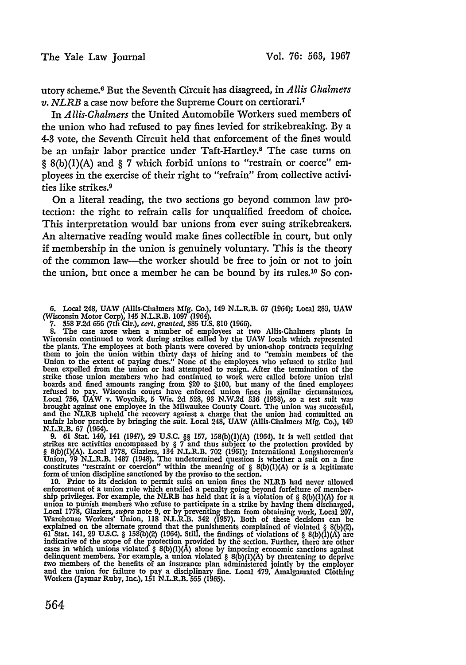utory scheme." But the Seventh Circuit has disagreed, in *Allis Chalmers v. NLRB* a case now before the Supreme Court on certiorari.7

In *Allis-Chalmers* the United Automobile Workers sued members of the union who had refused to pay fines levied for strikebreaking. By a 4-3 vote, the Seventh Circuit held that enforcement of the fines would be an unfair labor practice under Taft-Hartley.<sup>8</sup> The case turns on § 8(b)(1)(A) and § 7 which forbid unions to "restrain or coerce" employees in the exercise of their right to "refrain" from collective activities like strikes. <sup>9</sup>

On a literal reading, the two sections go beyond common law protection: the right to refrain calls for unqualified freedom of choice. This interpretation would bar unions from ever suing strikebreakers. An alternative reading would make fines collectible in court, but only if membership in the union is genuinely voluntary. This is the theory of the common law-the worker should be free to join or not to join the union, but once a member he can be bound by its rules.'0 So con-

6. Local 248, UAW (Allis-Chalmers Mfg. Co.), 149 N.L.R.B. 67 (1964); Local 283, UAW<br>(Wisconsin Motor Corp), 145 N.L.R.B. 1097 (1964).<br>7. 358 F.2d 656 (7th Cir.), cert. granted, 385 U.S. 810 (1966).<br>8. The case arose when a

Wisconsin continued to work during strikes called by the UAW locals which represented<br>the plants. The employees at both plants were covered by union-shop contracts requiring<br>them to join the union within thirty days of hir Union to the extent of paying dues." None of the employees who refused to strike had been expelled from the union or had attempted to resign. After the termination of the strike those union members who had continued to work were called before union trial<br>boards and fined amounts ranging from \$20 to \$100, but many of the fined employees<br>refused to pay. Wisconsin courts have enforced union fi Local 756, ÛAW v. Woychik, 5 Wis. 2d 528, 93 N.W.2d 336 (1958), so a test suit was<br>brought against one employee in the Milwaukee County Court. The union was successful,<br>and the NLRB upheld the recovery against a charge tha

N.L.R.B. 67 (1964). 9. 61 Stat. 140, 141 (1947), 29 U.S.C. §§ 157, 158(b)(1)(A) (1964). It is well settled that strikes are activities encompassed by § 7 and thus subject to the protection provided by § 8(b)(1)(A). Local 1778, Glaziers, 134 N.L.R.B. 702 (1961); International Longshoremen's Union, 79 N.L.R.B. 1487 (1948). The undetermined question is whether a suit on a find constitutes "restraint or coercion" within the meaning of § 8(b)(1)(A) or is a legitimate form of union discipline sanctioned by the pr

enforcement of a union rule which entailed a penalty going beyond forfeiture of member-<br>ship privileges. For example, the NLRB has held that it is a violation of § 8(b)(1)(A) for a<br>union to punish members who refuse to par 61 Stat. 141, 29 U.S.C. § 158(b)(2) (1964). Still, the findings of violations of § 8(b)(l)(a) are<br>indicative of the scope of the protection provided by the section. Further, there are other<br>cases in which unions violated and the union for failure to pay a disciplinary fine. Local 479, Amalgamated Clothing Workers (Jaymar Ruby, Inc.), **151** N.L.R.B. **555 (1965).**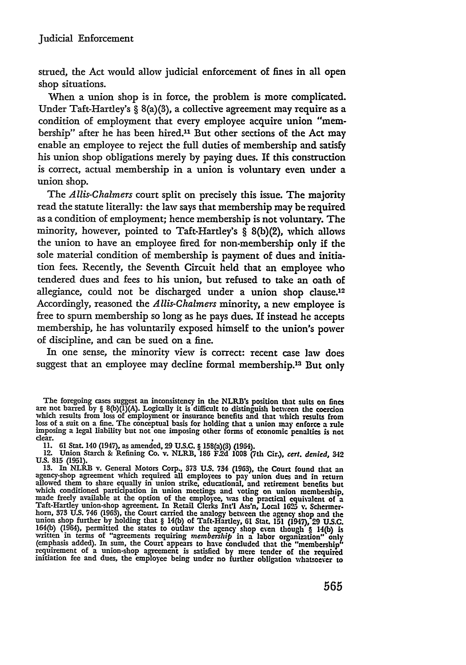strued, the Act would allow judicial enforcement of fines in all open shop situations.

When a union shop is in force, the problem is more complicated. Under Taft-Hartley's § 8(a)(3), a collective agreement may require as a condition of employment that every employee acquire union "membership" after he has been hired.<sup>11</sup> But other sections of the Act may enable an employee to reject the full duties of membership and satisfy his union shop obligations merely by paying dues. If this construction is correct, actual membership in a union is voluntary even under a union shop.

The *Allis-Chalmers* court split on precisely this issue. The majority read the statute literally: the law says that membership may be required as a condition of employment; hence membership is not voluntary. The minority, however, pointed to Taft-Hartley's § 8(b)(2), which allows the union to have an employee fired for non-membership only if the sole material condition of membership is payment of dues and initiation fees. Recently, the Seventh Circuit held that an employee **who** tendered dues and fees to his union, but refused to take an oath of allegiance, could not be discharged under a union shop clause.<sup>12</sup> Accordingly, reasoned the *Allis-Chalmers* minority, a new employee is free to spurn membership so long as he pays dues. If instead he accepts membership, he has voluntarily exposed himself to the union's power of discipline, and can be sued on a fine.

In one sense, the minority view is correct: recent case law does suggest that an employee may decline formal membership.<sup>13</sup> But only

11. **61** Stat. 140 (1947), as amended, **29 U.S.C. §** 158(a)(3) (1954). 12. Union Starch **&** Refining Co. v. NLRB. **186 F.2d 1008** (7th Cir.), *cert. denied,* <sup>342</sup>

The foregoing cases suggest an inconsistency in the NLRB's position that suits on fines are not barred **by** § **8(b)(1)(A).** Logically it is difficult to distinguish between the coercion which results from loss of employment or insurance benefits and that which results from<br>loss of a suit on a fine. The conceptual basis for holding that a union may enforce a rule<br>imposing a legal liability but not one impo dear.

**U.S. 815 (1951).** 13. In NLRB v. General Motors Corp., **373 U.S.** 734 (1963), the Court found that an agency-shop agreement which required all employees to pay union dues and in return allowed them to share equally in union strike, educational, and retirement benefits but<br>which conditioned participation in union meetings and voting on union membership,<br>made freely available at the option of the employee, horn, **373 U.S.** 746 **(1963),** the Court carried the analogy between the agency shop and the union shop further **by** holding that § 14(b) of Taft.Hartley, **61 Stat.** 151 (1947), **29** *U.S.C.* 164(b) (1964), permitted the states to outlaw the agency shop even though § 14(b) is<br>written in terms of "agreements requiring membership in a labor organization" only<br>(emphasis added). In sum, the Court appears to have co requirement of a union-shop agreement is satisfied **by** mere tender of the required initiation fee and dues, the employee being under no further obligation whatsoever to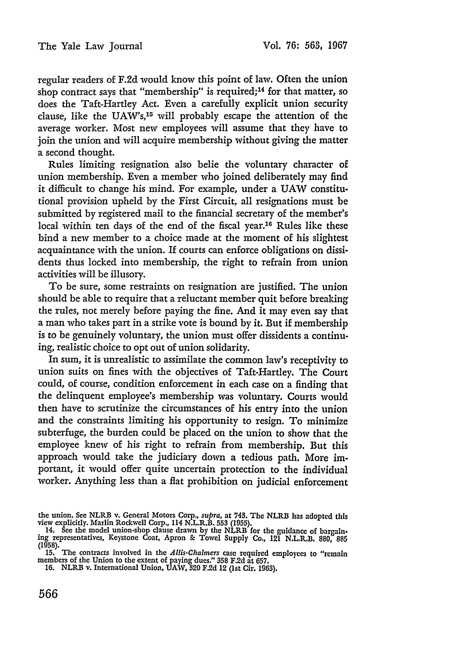regular readers of F.2d would know this point of law. Often the union shop contract says that "membership" is required; 14 for that matter, so does the Taft-Hartley Act. Even a carefully explicit union security clause, like the UAW's,<sup>15</sup> will probably escape the attention of the average worker. Most new employees will assume that they have to join the union and will acquire membership without giving the matter a second thought.

Rules limiting resignation also belie the voluntary character of union membership. Even a member who joined deliberately may find it difficult to change his mind. For example, under a UAW constitutional provision upheld by the First Circuit, all resignations must be submitted by registered mail to the financial secretary of the member's local within ten days of the end of the fiscal year.<sup>16</sup> Rules like these bind a new member to a choice made at the moment of his slightest acquaintance with the union. If courts can enforce obligations on dissidents thus locked into membership, the right to refrain from union activities will be illusory.

To be sure, some restraints on resignation are justified. The union should be able to require that a reluctant member quit before breaking the rules, not merely before paying the fine. And it may even say that a man who takes part in a strike vote is bound by it. But if membership is to be genuinely voluntary, the union must offer dissidents a continuing, realistic choice to opt out of union solidarity.

In sum, it is unrealistic to assimilate the common law's receptivity to union suits on fines with the objectives of Taft-Hartley. The Court could, of course, condition enforcement in each case on a finding that the delinquent employee's membership was voluntary. Courts would then have to scrutinize the circumstances of his entry into the union and the constraints limiting his opportunity to resign. To minimize subterfuge, the burden could be placed on the union to show that the employee knew of his right to refrain from membership. But this approach would take the judiciary down a tedious path. More important, it would offer quite uncertain protection to the individual worker. Anything less than a flat prohibition on judicial enforcement

the union. See NLRB v. General Motors Corp., *supra,* at 743. The NLRB has adopted this view explicitly. Marlin Rockwell Corp., 114 N.L.R.B. **553** (1955).

<sup>14.</sup> See the model union-shop clause drawn by the NLRB for the guidance of bargain. ing representatives, Keystone Coat, Apron & Towel Supply Co., 121 N.L.R.B. 880, 885

**<sup>(1958).</sup> 15.** The contracts involved in the *Allis-Chalmers* case required employees to "remain members of the Union to the extent of paying dues." **258 F.2d** at **657.**

**<sup>16.</sup>** NLRB v. International Union, **UAW, 320 F.2d** 12 (1st Cir. **1963).**